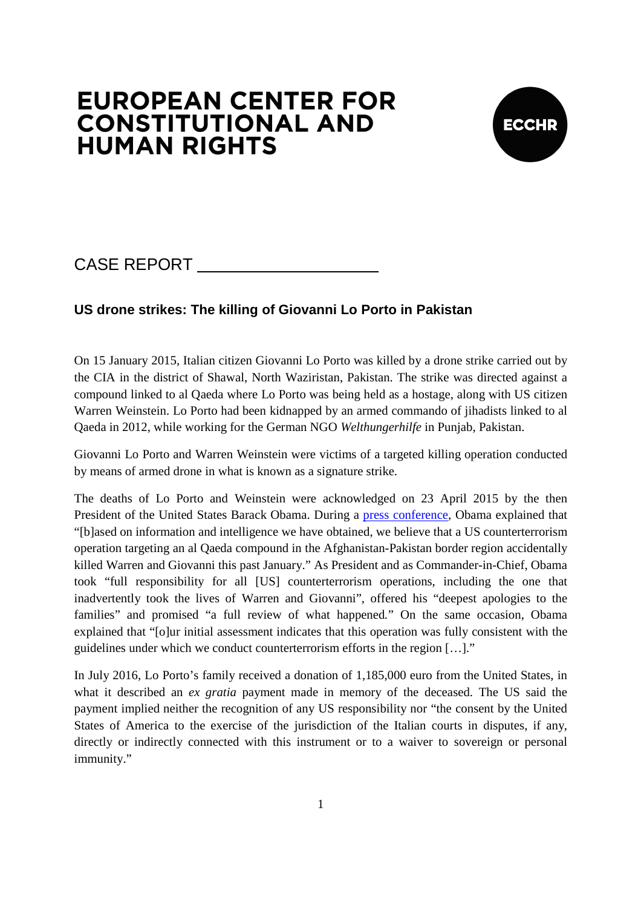# **EUROPEAN CENTER FOR CONSTITUTIONAL AND HUMAN RIGHTS**



## CASE REPORT

### **US drone strikes: The killing of Giovanni Lo Porto in Pakistan**

On 15 January 2015, Italian citizen Giovanni Lo Porto was killed by a drone strike carried out by the CIA in the district of Shawal, North Waziristan, Pakistan. The strike was directed against a compound linked to al Qaeda where Lo Porto was being held as a hostage, along with US citizen Warren Weinstein. Lo Porto had been kidnapped by an armed commando of jihadists linked to al Qaeda in 2012, while working for the German NGO *Welthungerhilfe* in Punjab, Pakistan.

Giovanni Lo Porto and Warren Weinstein were victims of a targeted killing operation conducted by means of armed drone in what is known as a signature strike.

The deaths of Lo Porto and Weinstein were acknowledged on 23 April 2015 by the then President of the United States Barack Obama. During a press conference, Obama explained that "[b]ased on information and intelligence we have obtained, we believe that a US counterterrorism operation targeting an al Qaeda compound in the Afghanistan-Pakistan border region accidentally killed Warren and Giovanni this past January." As President and as Commander-in-Chief, Obama took "full responsibility for all [US] counterterrorism operations, including the one that inadvertently took the lives of Warren and Giovanni", offered his "deepest apologies to the families" and promised "a full review of what happened*.*" On the same occasion, Obama explained that "[o]ur initial assessment indicates that this operation was fully consistent with the guidelines under which we conduct counterterrorism efforts in the region […]."

In July 2016, Lo Porto's family received a donation of 1,185,000 euro from the United States, in what it described an *ex gratia* payment made in memory of the deceased. The US said the payment implied neither the recognition of any US responsibility nor "the consent by the United States of America to the exercise of the jurisdiction of the Italian courts in disputes, if any, directly or indirectly connected with this instrument or to a waiver to sovereign or personal immunity."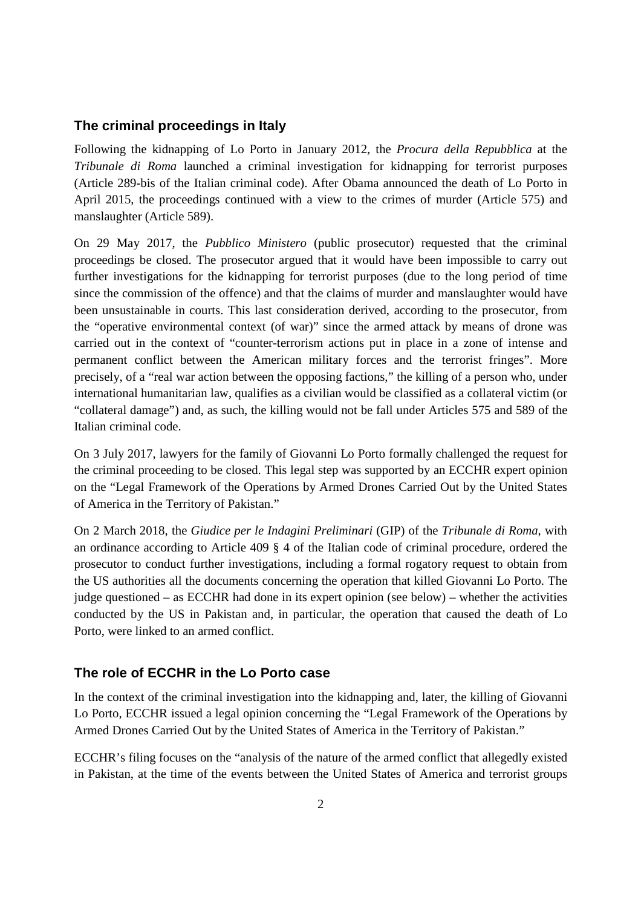#### **The criminal proceedings in Italy**

Following the kidnapping of Lo Porto in January 2012, the *Procura della Repubblica* at the *Tribunale di Roma* launched a criminal investigation for kidnapping for terrorist purposes (Article 289-bis of the Italian criminal code). After Obama announced the death of Lo Porto in April 2015, the proceedings continued with a view to the crimes of murder (Article 575) and manslaughter (Article 589).

On 29 May 2017, the *Pubblico Ministero* (public prosecutor) requested that the criminal proceedings be closed. The prosecutor argued that it would have been impossible to carry out further investigations for the kidnapping for terrorist purposes (due to the long period of time since the commission of the offence) and that the claims of murder and manslaughter would have been unsustainable in courts. This last consideration derived, according to the prosecutor, from the "operative environmental context (of war)" since the armed attack by means of drone was carried out in the context of "counter-terrorism actions put in place in a zone of intense and permanent conflict between the American military forces and the terrorist fringes". More precisely, of a "real war action between the opposing factions," the killing of a person who, under international humanitarian law, qualifies as a civilian would be classified as a collateral victim (or "collateral damage") and, as such, the killing would not be fall under Articles 575 and 589 of the Italian criminal code.

On 3 July 2017, lawyers for the family of Giovanni Lo Porto formally challenged the request for the criminal proceeding to be closed. This legal step was supported by an ECCHR expert opinion on the "Legal Framework of the Operations by Armed Drones Carried Out by the United States of America in the Territory of Pakistan."

On 2 March 2018, the *Giudice per le Indagini Preliminari* (GIP) of the *Tribunale di Roma*, with an ordinance according to Article 409 § 4 of the Italian code of criminal procedure, ordered the prosecutor to conduct further investigations, including a formal rogatory request to obtain from the US authorities all the documents concerning the operation that killed Giovanni Lo Porto. The judge questioned – as ECCHR had done in its expert opinion (see below) – whether the activities conducted by the US in Pakistan and, in particular, the operation that caused the death of Lo Porto, were linked to an armed conflict.

#### **The role of ECCHR in the Lo Porto case**

In the context of the criminal investigation into the kidnapping and, later, the killing of Giovanni Lo Porto, ECCHR issued a legal opinion concerning the "Legal Framework of the Operations by Armed Drones Carried Out by the United States of America in the Territory of Pakistan."

ECCHR's filing focuses on the "analysis of the nature of the armed conflict that allegedly existed in Pakistan, at the time of the events between the United States of America and terrorist groups